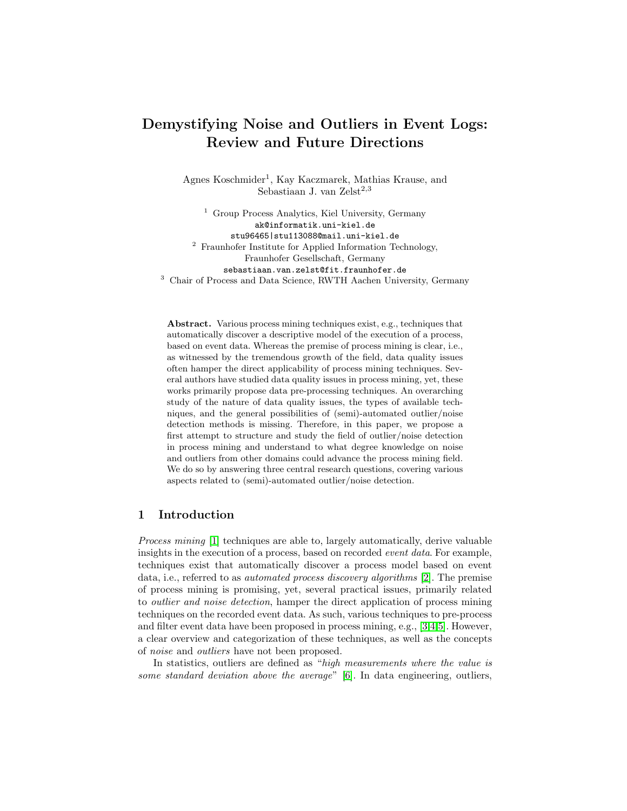# <span id="page-0-0"></span>Demystifying Noise and Outliers in Event Logs: Review and Future Directions

Agnes Koschmider<sup>1</sup>, Kay Kaczmarek, Mathias Krause, and Sebastiaan J. van Zelst<sup>2,3</sup>

<sup>1</sup> Group Process Analytics, Kiel University, Germany ak@informatik.uni-kiel.de stu96465|stu113088@mail.uni-kiel.de <sup>2</sup> Fraunhofer Institute for Applied Information Technology, Fraunhofer Gesellschaft, Germany sebastiaan.van.zelst@fit.fraunhofer.de <sup>3</sup> Chair of Process and Data Science, RWTH Aachen University, Germany

Abstract. Various process mining techniques exist, e.g., techniques that automatically discover a descriptive model of the execution of a process, based on event data. Whereas the premise of process mining is clear, i.e., as witnessed by the tremendous growth of the field, data quality issues often hamper the direct applicability of process mining techniques. Several authors have studied data quality issues in process mining, yet, these works primarily propose data pre-processing techniques. An overarching study of the nature of data quality issues, the types of available techniques, and the general possibilities of (semi)-automated outlier/noise detection methods is missing. Therefore, in this paper, we propose a first attempt to structure and study the field of outlier/noise detection in process mining and understand to what degree knowledge on noise and outliers from other domains could advance the process mining field. We do so by answering three central research questions, covering various aspects related to (semi)-automated outlier/noise detection.

## 1 Introduction

Process mining [\[1\]](#page-9-0) techniques are able to, largely automatically, derive valuable insights in the execution of a process, based on recorded event data. For example, techniques exist that automatically discover a process model based on event data, i.e., referred to as automated process discovery algorithms [\[2\]](#page-9-1). The premise of process mining is promising, yet, several practical issues, primarily related to outlier and noise detection, hamper the direct application of process mining techniques on the recorded event data. As such, various techniques to pre-process and filter event data have been proposed in process mining, e.g., [\[3](#page-9-2)[,4,](#page-9-3)[5\]](#page-9-4). However, a clear overview and categorization of these techniques, as well as the concepts of noise and outliers have not been proposed.

In statistics, outliers are defined as "high measurements where the value is some standard deviation above the average" [\[6\]](#page-9-5). In data engineering, outliers,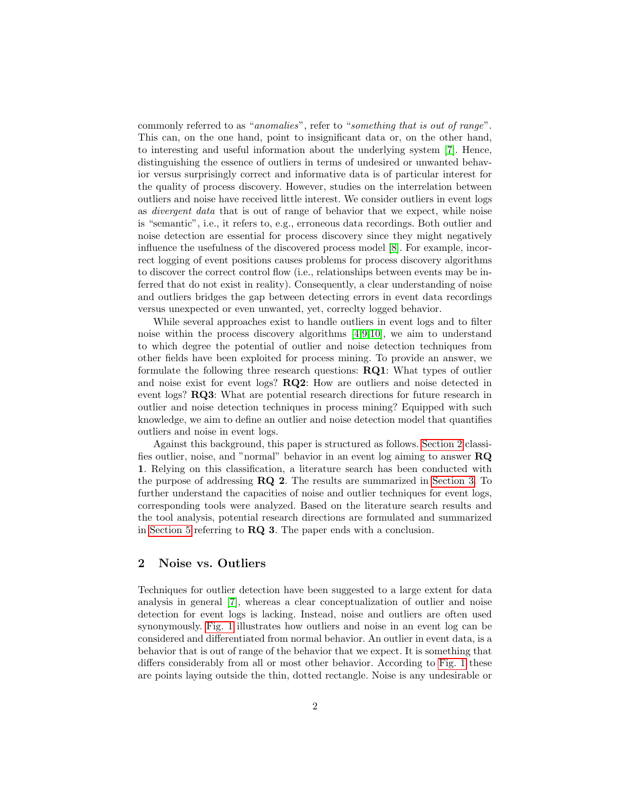commonly referred to as "anomalies", refer to "something that is out of range". This can, on the one hand, point to insignificant data or, on the other hand, to interesting and useful information about the underlying system [\[7\]](#page-9-6). Hence, distinguishing the essence of outliers in terms of undesired or unwanted behavior versus surprisingly correct and informative data is of particular interest for the quality of process discovery. However, studies on the interrelation between outliers and noise have received little interest. We consider outliers in event logs as divergent data that is out of range of behavior that we expect, while noise is "semantic", i.e., it refers to, e.g., erroneous data recordings. Both outlier and noise detection are essential for process discovery since they might negatively influence the usefulness of the discovered process model [\[8\]](#page-9-7). For example, incorrect logging of event positions causes problems for process discovery algorithms to discover the correct control flow (i.e., relationships between events may be inferred that do not exist in reality). Consequently, a clear understanding of noise and outliers bridges the gap between detecting errors in event data recordings versus unexpected or even unwanted, yet, correclty logged behavior.

While several approaches exist to handle outliers in event logs and to filter noise within the process discovery algorithms [\[4,](#page-9-3)[9,](#page-9-8)[10\]](#page-9-9), we aim to understand to which degree the potential of outlier and noise detection techniques from other fields have been exploited for process mining. To provide an answer, we formulate the following three research questions: RQ1: What types of outlier and noise exist for event logs? RQ2: How are outliers and noise detected in event logs? RQ3: What are potential research directions for future research in outlier and noise detection techniques in process mining? Equipped with such knowledge, we aim to define an outlier and noise detection model that quantifies outliers and noise in event logs.

Against this background, this paper is structured as follows. [Section 2](#page-1-0) classifies outlier, noise, and "normal" behavior in an event log aiming to answer RQ 1. Relying on this classification, a literature search has been conducted with the purpose of addressing RQ 2. The results are summarized in [Section 3.](#page-4-0) To further understand the capacities of noise and outlier techniques for event logs, corresponding tools were analyzed. Based on the literature search results and the tool analysis, potential research directions are formulated and summarized in [Section 5](#page-7-0) referring to RQ 3. The paper ends with a conclusion.

## <span id="page-1-0"></span>2 Noise vs. Outliers

Techniques for outlier detection have been suggested to a large extent for data analysis in general [\[7\]](#page-9-6), whereas a clear conceptualization of outlier and noise detection for event logs is lacking. Instead, noise and outliers are often used synonymously. [Fig. 1](#page-2-0) illustrates how outliers and noise in an event log can be considered and differentiated from normal behavior. An outlier in event data, is a behavior that is out of range of the behavior that we expect. It is something that differs considerably from all or most other behavior. According to [Fig. 1](#page-2-0) these are points laying outside the thin, dotted rectangle. Noise is any undesirable or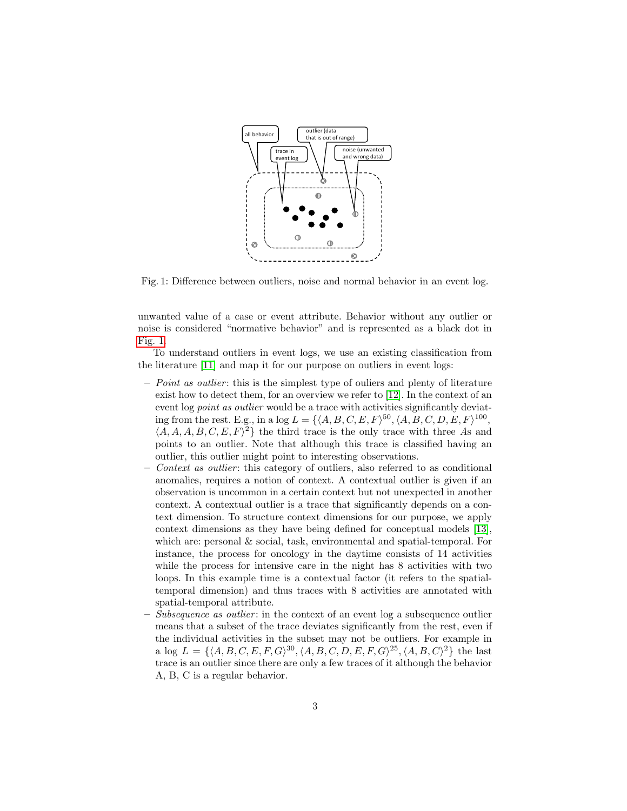<span id="page-2-0"></span>

Fig. 1: Difference between outliers, noise and normal behavior in an event log.

unwanted value of a case or event attribute. Behavior without any outlier or noise is considered "normative behavior" and is represented as a black dot in [Fig. 1.](#page-2-0)

To understand outliers in event logs, we use an existing classification from the literature [\[11\]](#page-10-0) and map it for our purpose on outliers in event logs:

- $P$  *Point as outlier*: this is the simplest type of ouliers and plenty of literature exist how to detect them, for an overview we refer to [\[12\]](#page-10-1). In the context of an event log *point as outlier* would be a trace with activities significantly deviating from the rest. E.g., in a log  $L = \{ \langle A, B, C, E, F \rangle^{50}, \langle A, B, C, D, E, F \rangle^{100},$  $\{A, A, A, B, C, E, F\}^2$  the third trace is the only trace with three As and points to an outlier. Note that although this trace is classified having an outlier, this outlier might point to interesting observations.
- Context as outlier: this category of outliers, also referred to as conditional anomalies, requires a notion of context. A contextual outlier is given if an observation is uncommon in a certain context but not unexpected in another context. A contextual outlier is a trace that significantly depends on a context dimension. To structure context dimensions for our purpose, we apply context dimensions as they have being defined for conceptual models [\[13\]](#page-10-2), which are: personal  $&$  social, task, environmental and spatial-temporal. For instance, the process for oncology in the daytime consists of 14 activities while the process for intensive care in the night has 8 activities with two loops. In this example time is a contextual factor (it refers to the spatialtemporal dimension) and thus traces with 8 activities are annotated with spatial-temporal attribute.
- Subsequence as outlier : in the context of an event log a subsequence outlier means that a subset of the trace deviates significantly from the rest, even if the individual activities in the subset may not be outliers. For example in a log  $L = \{ \langle A, B, C, E, F, G \rangle^{30}, \langle A, B, C, D, E, F, G \rangle^{25}, \langle A, B, C \rangle^{2} \}$  the last trace is an outlier since there are only a few traces of it although the behavior A, B, C is a regular behavior.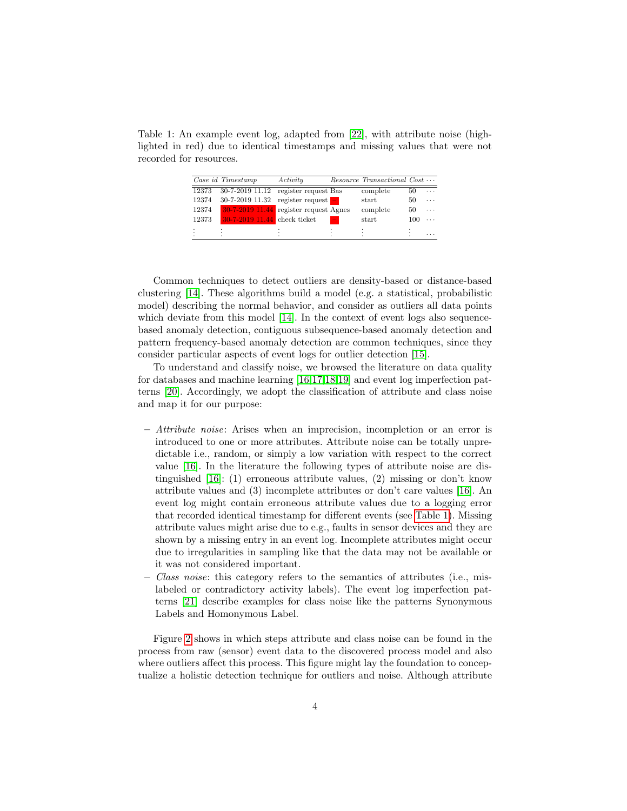<span id="page-3-0"></span>Table 1: An example event log, adapted from [\[22\]](#page-10-3), with attribute noise (highlighted in red) due to identical timestamps and missing values that were not recorded for resources.

|       | Case id Timestamp              | Activity                                  |   | $Resource$ Transactional $Cost \cdots$ |     |   |
|-------|--------------------------------|-------------------------------------------|---|----------------------------------------|-----|---|
| 12373 | 30-7-2019 11.12                | register request Bas                      |   | complete                               | 50  | . |
| 12374 | 30-7-2019 11.32                | register request $\overline{\phantom{a}}$ |   | start                                  | 50  | . |
| 12374 | 30-7-2019 11.44                | register request Agnes                    |   | complete                               | 50  | . |
| 12373 | $30-7-2019$ 11.44 check ticket |                                           | ÷ | start                                  | 100 | . |
| ٠     | ٠<br>٠                         |                                           |   | $\cdot$                                |     |   |
|       |                                |                                           |   | ٠                                      |     | . |

Common techniques to detect outliers are density-based or distance-based clustering [\[14\]](#page-10-4). These algorithms build a model (e.g. a statistical, probabilistic model) describing the normal behavior, and consider as outliers all data points which deviate from this model [\[14\]](#page-10-4). In the context of event logs also sequencebased anomaly detection, contiguous subsequence-based anomaly detection and pattern frequency-based anomaly detection are common techniques, since they consider particular aspects of event logs for outlier detection [\[15\]](#page-10-5).

To understand and classify noise, we browsed the literature on data quality for databases and machine learning [\[16,](#page-10-6)[17,](#page-10-7)[18,](#page-10-8)[19\]](#page-10-9) and event log imperfection patterns [\[20\]](#page-10-10). Accordingly, we adopt the classification of attribute and class noise and map it for our purpose:

- $-$  Attribute noise: Arises when an imprecision, incompletion or an error is introduced to one or more attributes. Attribute noise can be totally unpredictable i.e., random, or simply a low variation with respect to the correct value [\[16\]](#page-10-6). In the literature the following types of attribute noise are distinguished [\[16\]](#page-10-6): (1) erroneous attribute values, (2) missing or don't know attribute values and (3) incomplete attributes or don't care values [\[16\]](#page-10-6). An event log might contain erroneous attribute values due to a logging error that recorded identical timestamp for different events (see [Table 1\)](#page-3-0). Missing attribute values might arise due to e.g., faults in sensor devices and they are shown by a missing entry in an event log. Incomplete attributes might occur due to irregularities in sampling like that the data may not be available or it was not considered important.
- $-$  Class noise: this category refers to the semantics of attributes (i.e., mislabeled or contradictory activity labels). The event log imperfection patterns [\[21\]](#page-10-11) describe examples for class noise like the patterns Synonymous Labels and Homonymous Label.

Figure [2](#page-4-1) shows in which steps attribute and class noise can be found in the process from raw (sensor) event data to the discovered process model and also where outliers affect this process. This figure might lay the foundation to conceptualize a holistic detection technique for outliers and noise. Although attribute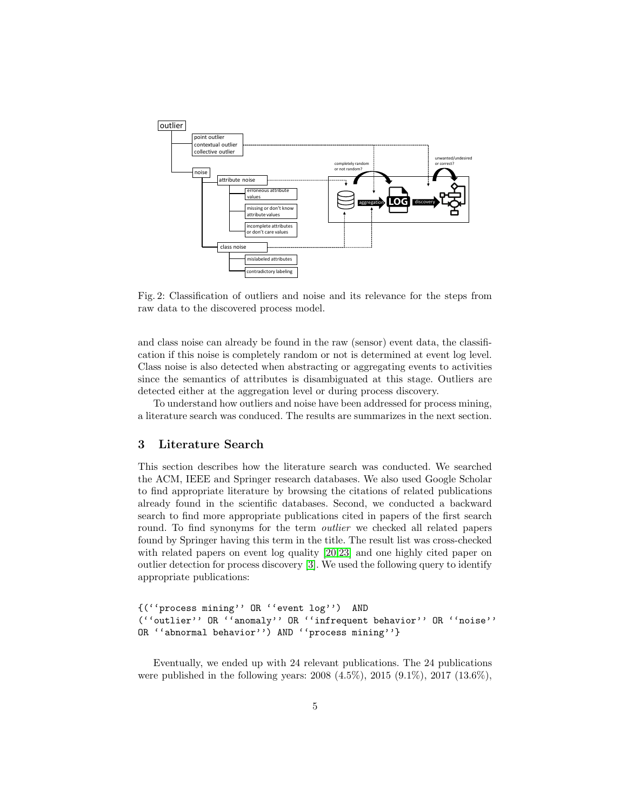<span id="page-4-1"></span>

Fig. 2: Classification of outliers and noise and its relevance for the steps from raw data to the discovered process model.

and class noise can already be found in the raw (sensor) event data, the classification if this noise is completely random or not is determined at event log level. Class noise is also detected when abstracting or aggregating events to activities since the semantics of attributes is disambiguated at this stage. Outliers are detected either at the aggregation level or during process discovery.

To understand how outliers and noise have been addressed for process mining, a literature search was conduced. The results are summarizes in the next section.

# <span id="page-4-0"></span>3 Literature Search

This section describes how the literature search was conducted. We searched the ACM, IEEE and Springer research databases. We also used Google Scholar to find appropriate literature by browsing the citations of related publications already found in the scientific databases. Second, we conducted a backward search to find more appropriate publications cited in papers of the first search round. To find synonyms for the term *outlier* we checked all related papers found by Springer having this term in the title. The result list was cross-checked with related papers on event log quality [\[20,](#page-10-10)[23\]](#page-10-12) and one highly cited paper on outlier detection for process discovery [\[3\]](#page-9-2). We used the following query to identify appropriate publications:

```
{(''process mining'' OR ''event log'') AND
(''outlier'' OR ''anomaly'' OR ''infrequent behavior'' OR ''noise''
OR ''abnormal behavior'') AND ''process mining''}
```
Eventually, we ended up with 24 relevant publications. The 24 publications were published in the following years: 2008 (4.5%), 2015 (9.1%), 2017 (13.6%),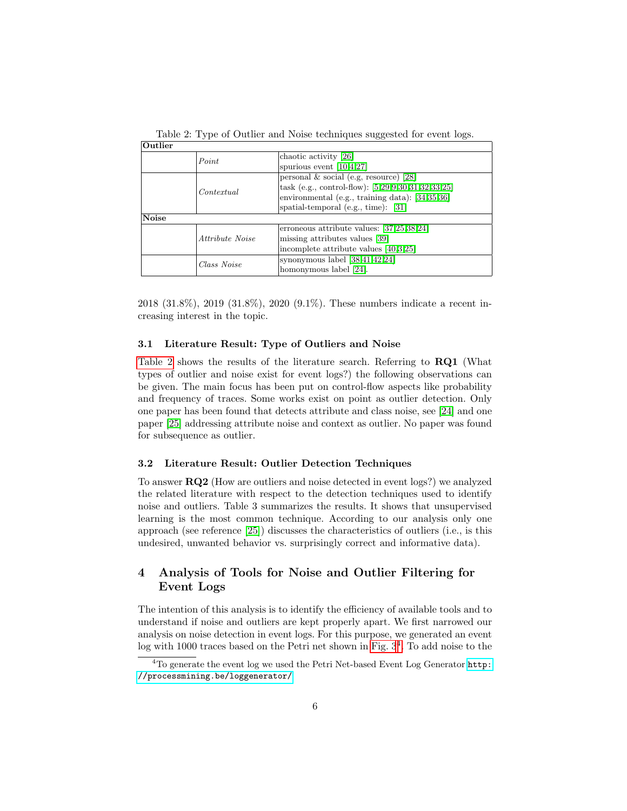<span id="page-5-0"></span>Table 2: Type of Outlier and Noise techniques suggested for event logs.

| Outlier |                        |                                                    |  |  |  |  |
|---------|------------------------|----------------------------------------------------|--|--|--|--|
|         | Point                  | chaotic activity [26]                              |  |  |  |  |
|         |                        | spurious event $[10, 4, 27]$                       |  |  |  |  |
|         |                        | personal $\&$ social (e.g. resource) [28]          |  |  |  |  |
|         | Contentinal            | task (e.g., control-flow): [5,29,9,30,31,32,33,25] |  |  |  |  |
|         |                        | environmental (e.g., training data): [34,35,36]    |  |  |  |  |
|         |                        | spatial-temporal (e.g., time): $[31]$              |  |  |  |  |
| Noise   |                        |                                                    |  |  |  |  |
|         |                        | erroneous attribute values: $[37,25,38,24]$        |  |  |  |  |
|         | <i>Attribute Noise</i> | missing attributes values [39]                     |  |  |  |  |
|         |                        | incomplete attribute values $[40,3,25]$            |  |  |  |  |
|         | Class Noise            | synonymous label $[38, 41, 42, 24]$                |  |  |  |  |
|         |                        | homonymous label [24].                             |  |  |  |  |

2018 (31.8%), 2019 (31.8%), 2020 (9.1%). These numbers indicate a recent increasing interest in the topic.

## 3.1 Literature Result: Type of Outliers and Noise

[Table 2](#page-5-0) shows the results of the literature search. Referring to RQ1 (What types of outlier and noise exist for event logs?) the following observations can be given. The main focus has been put on control-flow aspects like probability and frequency of traces. Some works exist on point as outlier detection. Only one paper has been found that detects attribute and class noise, see [\[24\]](#page-10-21) and one paper [\[25\]](#page-10-20) addressing attribute noise and context as outlier. No paper was found for subsequence as outlier.

## 3.2 Literature Result: Outlier Detection Techniques

To answer RQ2 (How are outliers and noise detected in event logs?) we analyzed the related literature with respect to the detection techniques used to identify noise and outliers. Table 3 summarizes the results. It shows that unsupervised learning is the most common technique. According to our analysis only one approach (see reference [\[25\]](#page-10-20)) discusses the characteristics of outliers (i.e., is this undesired, unwanted behavior vs. surprisingly correct and informative data).

# 4 Analysis of Tools for Noise and Outlier Filtering for Event Logs

The intention of this analysis is to identify the efficiency of available tools and to understand if noise and outliers are kept properly apart. We first narrowed our analysis on noise detection in event logs. For this purpose, we generated an event  $\log$  with 1000 traces based on the Petri net shown in Fig.  $3<sup>4</sup>$  $3<sup>4</sup>$  $3<sup>4</sup>$ . To add noise to the

<sup>4</sup>To generate the event log we used the Petri Net-based Event Log Generator [http:](http://processmining.be/loggenerator/) [//processmining.be/loggenerator/](http://processmining.be/loggenerator/)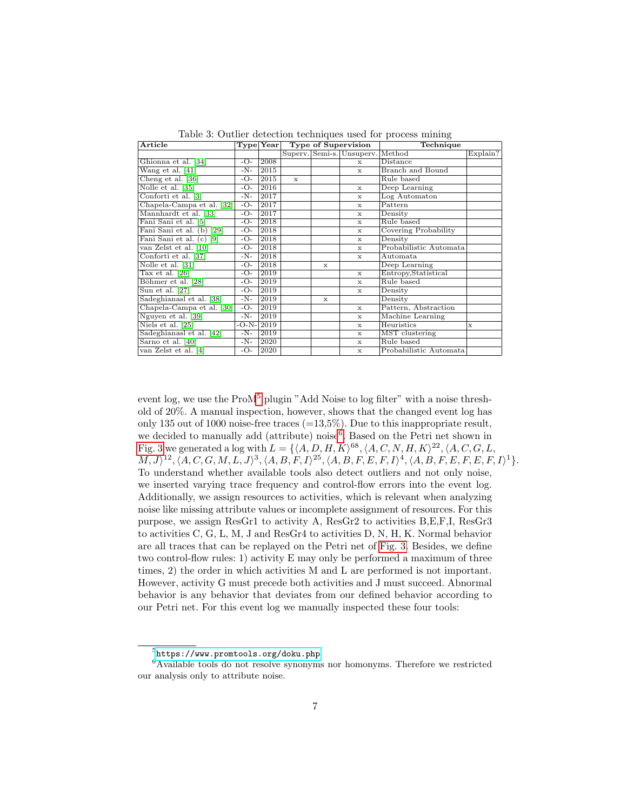|  | Table 3: Outlier detection techniques used for process mining |  |  |  |  |  |
|--|---------------------------------------------------------------|--|--|--|--|--|
|--|---------------------------------------------------------------|--|--|--|--|--|

| $\rm Article$                                | $\bf Type Year $ |      | Type of Supervision |              |                           | Technique                      |          |
|----------------------------------------------|------------------|------|---------------------|--------------|---------------------------|--------------------------------|----------|
|                                              |                  |      |                     |              | Superv. Semi-s. Unsuperv. | Method                         | Explain? |
| Ghionna et al. [34]                          | -O-              | 2008 |                     |              | $\mathbf{x}$              | <b>Distance</b>                |          |
| Wang et al. $[41]$                           | $-N-$            | 2015 |                     |              | $\mathbf{x}$              | <b>Branch</b> and <b>Bound</b> |          |
| Cheng et al. [36]                            | -O-              | 2015 | $\mathbf x$         |              |                           | Rule based                     |          |
| Nolle et al. [35]                            | -O-              | 2016 |                     |              | $\mathbf x$               | Deep Learning                  |          |
| Conforti et al. [3]                          | $-N-$            | 2017 |                     |              | $\mathbf x$               | Log Automaton                  |          |
| Chapela-Campa et al. [32]                    | $-\overline{O}$  | 2017 |                     |              | $\mathbf x$               | Pattern                        |          |
| Mannhardt et al. [33]                        | $-O-$            | 2017 |                     |              | $\mathbf x$               | Density                        |          |
| Fani Sani et al. [5]                         | $-O-$            | 2018 |                     |              | $\mathbf x$               | Rule based                     |          |
| Fani Sani et al.<br>$\sqrt{29}$<br>(b)       | $-O-$            | 2018 |                     |              | $\mathbf x$               | Covering Probability           |          |
| Fani Sani et al.<br>$\lceil 9 \rceil$<br>(c) | $-O-$            | 2018 |                     |              | $\mathbf x$               | Density                        |          |
| van Zelst et al. [10]                        | -O-              | 2018 |                     |              | $\mathbf x$               | Probabilistic Automata         |          |
| Conforti et al. [37]                         | $-N-$            | 2018 |                     |              | $\mathbf x$               | Automata                       |          |
| Nolle et al. [31]                            | -O-              | 2018 |                     | $\mathbf{x}$ |                           | Deep Learning                  |          |
| Tax et al. $[26]$                            | -O-              | 2019 |                     |              | $\mathbf x$               | Entropy, Statistical           |          |
| Böhmer et al. [28]                           | -0-              | 2019 |                     |              | $\mathbf x$               | Rule based                     |          |
| Sun et al. [27]                              | $-O-$            | 2019 |                     |              | $\mathbf x$               | Density                        |          |
| Sadeghianasl et al. [38]                     | -N-              | 2019 |                     | $\mathbf x$  |                           | Density                        |          |
| Chapela-Campa et al. [30]                    | $-O-$            | 2019 |                     |              | $\mathbf x$               | Pattern, Abstraction           |          |
| Nguyen et al. [39]                           | -N-              | 2019 |                     |              | $\mathbf x$               | Machine Learning               |          |
| Niels et al. [25]                            | -O-N-            | 2019 |                     |              | $\mathbf x$               | Heuristics                     | x        |
| Sadeghianasl et al. [42]                     | $-N-$            | 2019 |                     |              | $\mathbf x$               | MST clustering                 |          |
| Sarno et al. [40]                            | -N-              | 2020 |                     |              | $\mathbf x$               | Rule based                     |          |
| van Zelst et al. [4]                         | $-O-$            | 2020 |                     |              | $\mathbf x$               | Probabilistic Automata         |          |

event log, we use the ProM<sup>[5](#page-0-0)</sup> plugin "Add Noise to log filter" with a noise threshold of 20%. A manual inspection, however, shows that the changed event log has only 135 out of 1000 noise-free traces  $(=13,5\%)$ . Due to this inappropriate result, we decided to manually add (attribute) noise<sup>[6](#page-0-0)</sup>. Based on the Petri net shown in [Fig. 3](#page-7-1) we generated a log with  $L = \{ \langle A, D, H, K \rangle^{68}, \langle A, C, N, H, K \rangle^{22}, \langle A, C, G, L,$  $(M, J)^{12}, \langle A, C, G, M, L, J \rangle^3, \langle A, B, F, I \rangle^{25}, \langle A, B, F, E, F, I \rangle^4, \langle A, B, F, E, F, E, F, I \rangle^1$ . To understand whether available tools also detect outliers and not only noise, we inserted varying trace frequency and control-flow errors into the event log. Additionally, we assign resources to activities, which is relevant when analyzing noise like missing attribute values or incomplete assignment of resources. For this purpose, we assign ResGr1 to activity A, ResGr2 to activities B,E,F,I, ResGr3 to activities C, G, L, M, J and ResGr4 to activities D, N, H, K. Normal behavior are all traces that can be replayed on the Petri net of [Fig. 3.](#page-7-1) Besides, we define two control-flow rules: 1) activity E may only be performed a maximum of three times, 2) the order in which activities M and L are performed is not important. However, activity G must precede both activities and J must succeed. Abnormal behavior is any behavior that deviates from our defined behavior according to our Petri net. For this event log we manually inspected these four tools:

 $^{5}$ <https://www.promtools.org/doku.php>

 $6$ Available tools do not resolve synonyms nor homonyms. Therefore we restricted our analysis only to attribute noise.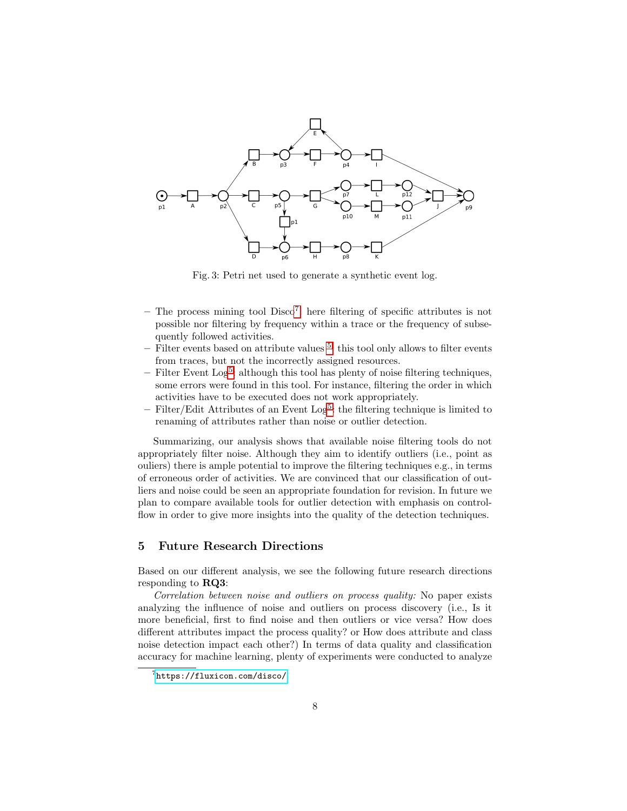<span id="page-7-1"></span>

Fig. 3: Petri net used to generate a synthetic event log.

- The process mining tool Disco<sup>[7](#page-0-0)</sup>: here filtering of specific attributes is not possible nor filtering by frequency within a trace or the frequency of subsequently followed activities.
- $-$  Filter events based on attribute values  $5$ : this tool only allows to filter events from traces, but not the incorrectly assigned resources.
- Filter Event Log<sup>[5](#page-0-0)</sup>: although this tool has plenty of noise filtering techniques, some errors were found in this tool. For instance, filtering the order in which activities have to be executed does not work appropriately.
- $-$  Filter/Edit Attributes of an Event Log<sup>[5](#page-0-0)</sup>: the filtering technique is limited to renaming of attributes rather than noise or outlier detection.

Summarizing, our analysis shows that available noise filtering tools do not appropriately filter noise. Although they aim to identify outliers (i.e., point as ouliers) there is ample potential to improve the filtering techniques e.g., in terms of erroneous order of activities. We are convinced that our classification of outliers and noise could be seen an appropriate foundation for revision. In future we plan to compare available tools for outlier detection with emphasis on controlflow in order to give more insights into the quality of the detection techniques.

## <span id="page-7-0"></span>5 Future Research Directions

Based on our different analysis, we see the following future research directions responding to RQ3:

Correlation between noise and outliers on process quality: No paper exists analyzing the influence of noise and outliers on process discovery (i.e., Is it more beneficial, first to find noise and then outliers or vice versa? How does different attributes impact the process quality? or How does attribute and class noise detection impact each other?) In terms of data quality and classification accuracy for machine learning, plenty of experiments were conducted to analyze

<sup>7</sup> <https://fluxicon.com/disco/>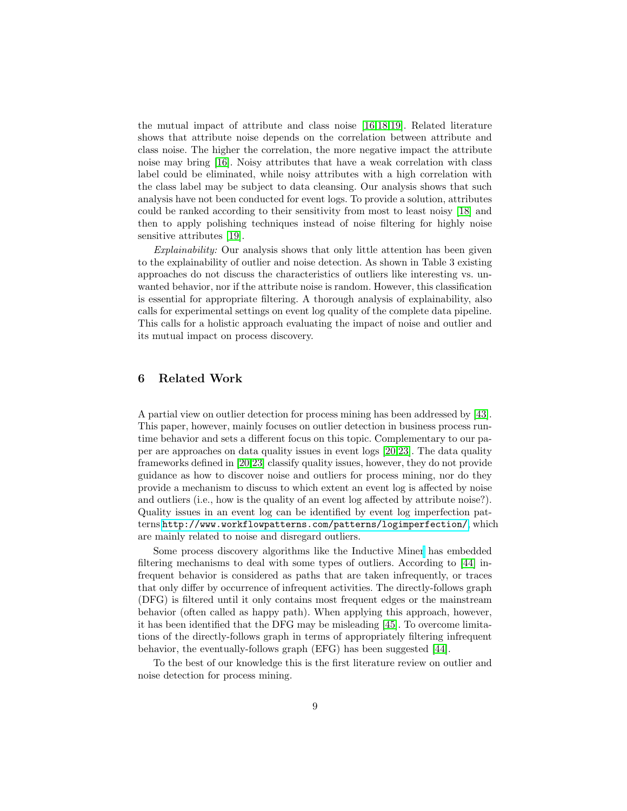the mutual impact of attribute and class noise [\[16,](#page-10-6)[18,](#page-10-8)[19\]](#page-10-9). Related literature shows that attribute noise depends on the correlation between attribute and class noise. The higher the correlation, the more negative impact the attribute noise may bring [\[16\]](#page-10-6). Noisy attributes that have a weak correlation with class label could be eliminated, while noisy attributes with a high correlation with the class label may be subject to data cleansing. Our analysis shows that such analysis have not been conducted for event logs. To provide a solution, attributes could be ranked according to their sensitivity from most to least noisy [\[18\]](#page-10-8) and then to apply polishing techniques instead of noise filtering for highly noise sensitive attributes [\[19\]](#page-10-9).

Explainability: Our analysis shows that only little attention has been given to the explainability of outlier and noise detection. As shown in Table 3 existing approaches do not discuss the characteristics of outliers like interesting vs. unwanted behavior, nor if the attribute noise is random. However, this classification is essential for appropriate filtering. A thorough analysis of explainability, also calls for experimental settings on event log quality of the complete data pipeline. This calls for a holistic approach evaluating the impact of noise and outlier and its mutual impact on process discovery.

## 6 Related Work

A partial view on outlier detection for process mining has been addressed by [\[43\]](#page-11-10). This paper, however, mainly focuses on outlier detection in business process runtime behavior and sets a different focus on this topic. Complementary to our paper are approaches on data quality issues in event logs [\[20](#page-10-10)[,23\]](#page-10-12). The data quality frameworks defined in [\[20,](#page-10-10)[23\]](#page-10-12) classify quality issues, however, they do not provide guidance as how to discover noise and outliers for process mining, nor do they provide a mechanism to discuss to which extent an event log is affected by noise and outliers (i.e., how is the quality of an event log affected by attribute noise?). Quality issues in an event log can be identified by event log imperfection patterns <http://www.workflowpatterns.com/patterns/logimperfection/>, which are mainly related to noise and disregard outliers.

Some process discovery algorithms like the Inductive Miner has embedded filtering mechanisms to deal with some types of outliers. According to [\[44\]](#page-11-11) infrequent behavior is considered as paths that are taken infrequently, or traces that only differ by occurrence of infrequent activities. The directly-follows graph (DFG) is filtered until it only contains most frequent edges or the mainstream behavior (often called as happy path). When applying this approach, however, it has been identified that the DFG may be misleading [\[45\]](#page-11-12). To overcome limitations of the directly-follows graph in terms of appropriately filtering infrequent behavior, the eventually-follows graph (EFG) has been suggested [\[44\]](#page-11-11).

To the best of our knowledge this is the first literature review on outlier and noise detection for process mining.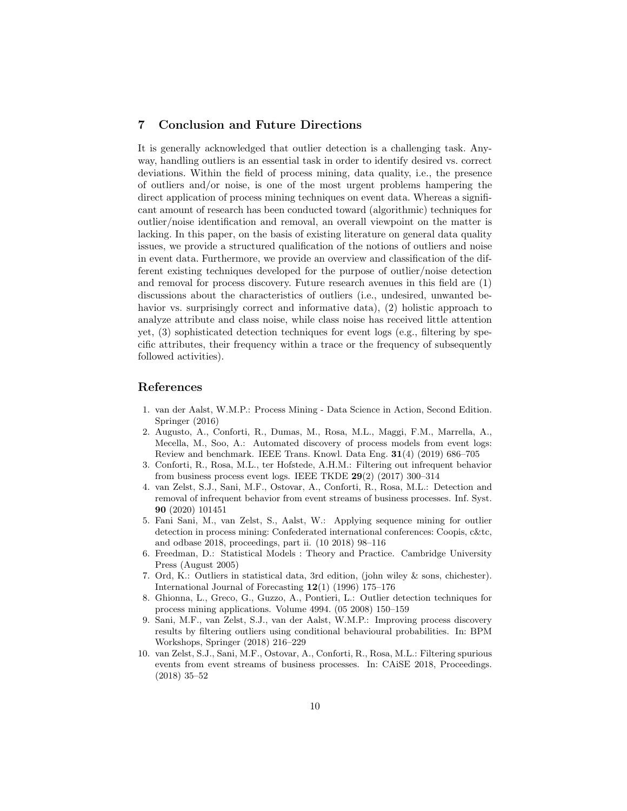## 7 Conclusion and Future Directions

It is generally acknowledged that outlier detection is a challenging task. Anyway, handling outliers is an essential task in order to identify desired vs. correct deviations. Within the field of process mining, data quality, i.e., the presence of outliers and/or noise, is one of the most urgent problems hampering the direct application of process mining techniques on event data. Whereas a significant amount of research has been conducted toward (algorithmic) techniques for outlier/noise identification and removal, an overall viewpoint on the matter is lacking. In this paper, on the basis of existing literature on general data quality issues, we provide a structured qualification of the notions of outliers and noise in event data. Furthermore, we provide an overview and classification of the different existing techniques developed for the purpose of outlier/noise detection and removal for process discovery. Future research avenues in this field are (1) discussions about the characteristics of outliers (i.e., undesired, unwanted behavior vs. surprisingly correct and informative data), (2) holistic approach to analyze attribute and class noise, while class noise has received little attention yet, (3) sophisticated detection techniques for event logs (e.g., filtering by specific attributes, their frequency within a trace or the frequency of subsequently followed activities).

## References

- <span id="page-9-0"></span>1. van der Aalst, W.M.P.: Process Mining - Data Science in Action, Second Edition. Springer (2016)
- <span id="page-9-1"></span>2. Augusto, A., Conforti, R., Dumas, M., Rosa, M.L., Maggi, F.M., Marrella, A., Mecella, M., Soo, A.: Automated discovery of process models from event logs: Review and benchmark. IEEE Trans. Knowl. Data Eng. 31(4) (2019) 686–705
- <span id="page-9-2"></span>3. Conforti, R., Rosa, M.L., ter Hofstede, A.H.M.: Filtering out infrequent behavior from business process event logs. IEEE TKDE  $29(2)$  (2017) 300–314
- <span id="page-9-3"></span>4. van Zelst, S.J., Sani, M.F., Ostovar, A., Conforti, R., Rosa, M.L.: Detection and removal of infrequent behavior from event streams of business processes. Inf. Syst. 90 (2020) 101451
- <span id="page-9-4"></span>5. Fani Sani, M., van Zelst, S., Aalst, W.: Applying sequence mining for outlier detection in process mining: Confederated international conferences: Coopis, c&tc, and odbase 2018, proceedings, part ii. (10 2018) 98–116
- <span id="page-9-5"></span>6. Freedman, D.: Statistical Models : Theory and Practice. Cambridge University Press (August 2005)
- <span id="page-9-6"></span>7. Ord, K.: Outliers in statistical data, 3rd edition, (john wiley & sons, chichester). International Journal of Forecasting 12(1) (1996) 175–176
- <span id="page-9-7"></span>8. Ghionna, L., Greco, G., Guzzo, A., Pontieri, L.: Outlier detection techniques for process mining applications. Volume 4994. (05 2008) 150–159
- <span id="page-9-8"></span>9. Sani, M.F., van Zelst, S.J., van der Aalst, W.M.P.: Improving process discovery results by filtering outliers using conditional behavioural probabilities. In: BPM Workshops, Springer (2018) 216–229
- <span id="page-9-9"></span>10. van Zelst, S.J., Sani, M.F., Ostovar, A., Conforti, R., Rosa, M.L.: Filtering spurious events from event streams of business processes. In: CAiSE 2018, Proceedings. (2018) 35–52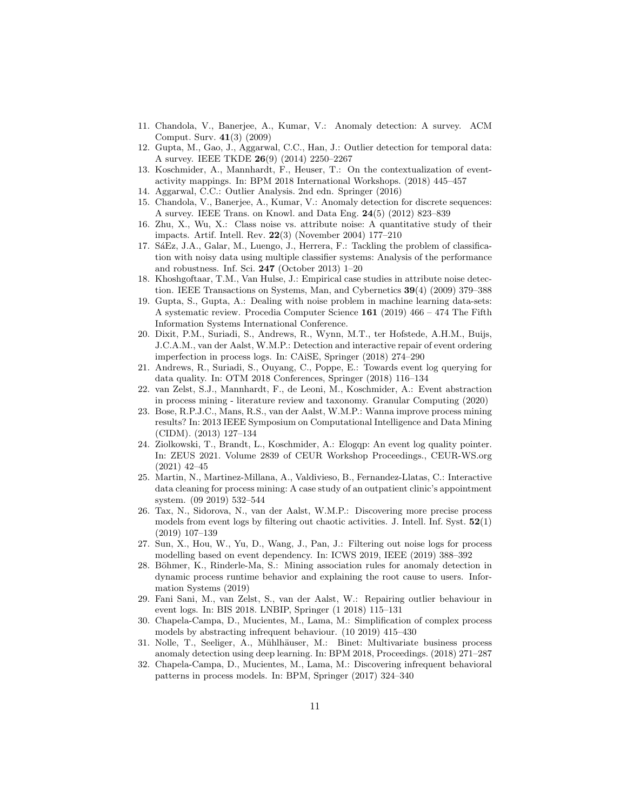- <span id="page-10-0"></span>11. Chandola, V., Banerjee, A., Kumar, V.: Anomaly detection: A survey. ACM Comput. Surv. 41(3) (2009)
- <span id="page-10-1"></span>12. Gupta, M., Gao, J., Aggarwal, C.C., Han, J.: Outlier detection for temporal data: A survey. IEEE TKDE 26(9) (2014) 2250–2267
- <span id="page-10-2"></span>13. Koschmider, A., Mannhardt, F., Heuser, T.: On the contextualization of eventactivity mappings. In: BPM 2018 International Workshops. (2018) 445–457
- <span id="page-10-4"></span>14. Aggarwal, C.C.: Outlier Analysis. 2nd edn. Springer (2016)
- <span id="page-10-5"></span>15. Chandola, V., Banerjee, A., Kumar, V.: Anomaly detection for discrete sequences: A survey. IEEE Trans. on Knowl. and Data Eng. 24(5) (2012) 823–839
- <span id="page-10-6"></span>16. Zhu, X., Wu, X.: Class noise vs. attribute noise: A quantitative study of their impacts. Artif. Intell. Rev. 22(3) (November 2004) 177–210
- <span id="page-10-7"></span>17. SáEz, J.A., Galar, M., Luengo, J., Herrera, F.: Tackling the problem of classification with noisy data using multiple classifier systems: Analysis of the performance and robustness. Inf. Sci. 247 (October 2013) 1–20
- <span id="page-10-8"></span>18. Khoshgoftaar, T.M., Van Hulse, J.: Empirical case studies in attribute noise detection. IEEE Transactions on Systems, Man, and Cybernetics 39(4) (2009) 379–388
- <span id="page-10-9"></span>19. Gupta, S., Gupta, A.: Dealing with noise problem in machine learning data-sets: A systematic review. Procedia Computer Science  $161$  (2019) 466 – 474 The Fifth Information Systems International Conference.
- <span id="page-10-10"></span>20. Dixit, P.M., Suriadi, S., Andrews, R., Wynn, M.T., ter Hofstede, A.H.M., Buijs, J.C.A.M., van der Aalst, W.M.P.: Detection and interactive repair of event ordering imperfection in process logs. In: CAiSE, Springer (2018) 274–290
- <span id="page-10-11"></span>21. Andrews, R., Suriadi, S., Ouyang, C., Poppe, E.: Towards event log querying for data quality. In: OTM 2018 Conferences, Springer (2018) 116–134
- <span id="page-10-3"></span>22. van Zelst, S.J., Mannhardt, F., de Leoni, M., Koschmider, A.: Event abstraction in process mining - literature review and taxonomy. Granular Computing (2020)
- <span id="page-10-12"></span>23. Bose, R.P.J.C., Mans, R.S., van der Aalst, W.M.P.: Wanna improve process mining results? In: 2013 IEEE Symposium on Computational Intelligence and Data Mining (CIDM). (2013) 127–134
- <span id="page-10-21"></span>24. Ziolkowski, T., Brandt, L., Koschmider, A.: Elogqp: An event log quality pointer. In: ZEUS 2021. Volume 2839 of CEUR Workshop Proceedings., CEUR-WS.org (2021) 42–45
- <span id="page-10-20"></span>25. Martin, N., Martinez-Millana, A., Valdivieso, B., Fernandez-Llatas, C.: Interactive data cleaning for process mining: A case study of an outpatient clinic's appointment system. (09 2019) 532–544
- <span id="page-10-13"></span>26. Tax, N., Sidorova, N., van der Aalst, W.M.P.: Discovering more precise process models from event logs by filtering out chaotic activities. J. Intell. Inf. Syst.  $52(1)$ (2019) 107–139
- <span id="page-10-14"></span>27. Sun, X., Hou, W., Yu, D., Wang, J., Pan, J.: Filtering out noise logs for process modelling based on event dependency. In: ICWS 2019, IEEE (2019) 388–392
- <span id="page-10-15"></span>28. Böhmer, K., Rinderle-Ma, S.: Mining association rules for anomaly detection in dynamic process runtime behavior and explaining the root cause to users. Information Systems (2019)
- <span id="page-10-16"></span>29. Fani Sani, M., van Zelst, S., van der Aalst, W.: Repairing outlier behaviour in event logs. In: BIS 2018. LNBIP, Springer (1 2018) 115–131
- <span id="page-10-17"></span>30. Chapela-Campa, D., Mucientes, M., Lama, M.: Simplification of complex process models by abstracting infrequent behaviour. (10 2019) 415–430
- <span id="page-10-18"></span>31. Nolle, T., Seeliger, A., Mühlhäuser, M.: Binet: Multivariate business process anomaly detection using deep learning. In: BPM 2018, Proceedings. (2018) 271–287
- <span id="page-10-19"></span>32. Chapela-Campa, D., Mucientes, M., Lama, M.: Discovering infrequent behavioral patterns in process models. In: BPM, Springer (2017) 324–340